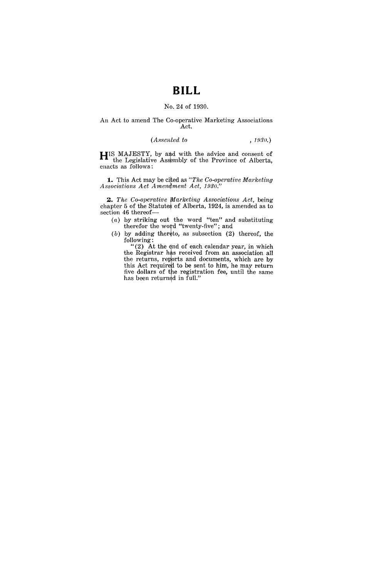# **BILL**

### No. 24 of 1930.

#### An Act to amend The Co-operative Marketing Associations Act.

#### *(Assented to* , 1930.)

**HIS MAJESTY, by and with the advice and consent of** the Legislative Assembly of the Province of Alberta, enacts as follows:

**1.** This Act may be cited as "The Co-operative Marketing" *Associations Act Amendment Act, 1930."* 

~. *The Co-operative fJ1arketing Associations Act,* being chapter 5 of the Statutes of Alberta, 1924, is amended as to section 46 thereof-

- $(a)$  by striking out the word "ten" and substituting therefor the word "twenty-five"; and
- $(b)$  by adding thereto, as subsection (2) thereof, the following:

" $(2)$  At the end of each calendar year, in which the Registrar has received from an association all the returns, reports and documents, which are by this Act required to be sent to him, he may return five dollars of the registration fee, until the same has been returned in full."